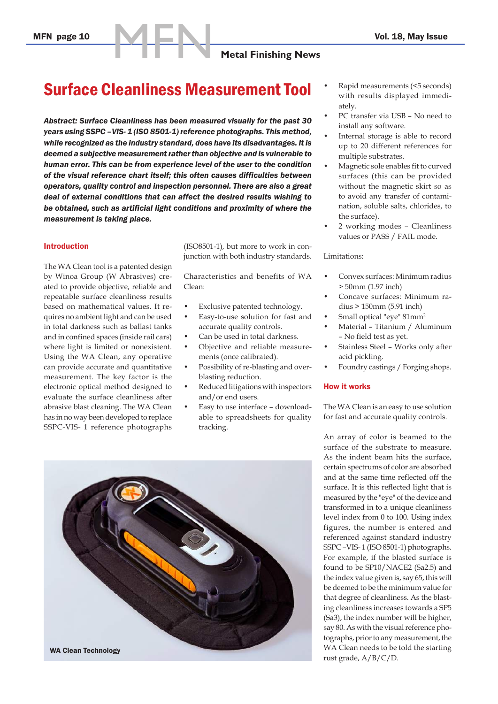# MFN **Metal Finishing News**

### Surface Cleanliness Measurement Tool

*Abstract: Surface Cleanliness has been measured visually for the past 30 years using SSPC –VIS- 1 (ISO 8501-1) reference photographs. This method, while recognized as the industry standard, does have its disadvantages. It is deemed a subjective measurement rather than objective and is vulnerable to human error. This can be from experience level of the user to the condition of the visual reference chart itself; this often causes difficulties between operators, quality control and inspection personnel. There are also a great deal of external conditions that can affect the desired results wishing to be obtained, such as artificial light conditions and proximity of where the measurement is taking place.*

#### Introduction

The WA Clean tool is a patented design by Winoa Group (W Abrasives) created to provide objective, reliable and repeatable surface cleanliness results based on mathematical values. It requires no ambient light and can be used in total darkness such as ballast tanks and in confined spaces (inside rail cars) where light is limited or nonexistent. Using the WA Clean, any operative can provide accurate and quantitative measurement. The key factor is the electronic optical method designed to evaluate the surface cleanliness after abrasive blast cleaning. The WA Clean has in no way been developed to replace SSPC-VIS- 1 reference photographs

(ISO8501-1), but more to work in conjunction with both industry standards.

Characteristics and benefits of WA Clean:

- Exclusive patented technology.
- Easy-to-use solution for fast and accurate quality controls.
- Can be used in total darkness.
- Objective and reliable measurements (once calibrated).
- Possibility of re-blasting and overblasting reduction.
- Reduced litigations with inspectors and/or end users.
- Easy to use interface downloadable to spreadsheets for quality tracking.



- Rapid measurements (<5 seconds) with results displayed immediately.
- PC transfer via USB No need to install any software.
- Internal storage is able to record up to 20 different references for multiple substrates.
- Magnetic sole enables fit to curved surfaces (this can be provided without the magnetic skirt so as to avoid any transfer of contamination, soluble salts, chlorides, to the surface).
- 2 working modes Cleanliness values or PASS / FAIL mode.

#### Limitations:

- Convex surfaces: Minimum radius > 50mm (1.97 inch)
- Concave surfaces: Minimum radius > 150mm (5.91 inch)
- Small optical "eye" 81mm2
- Material Titanium / Aluminum – No field test as yet.
- Stainless Steel Works only after acid pickling.
- Foundry castings / Forging shops.

#### How it works

The WA Clean is an easy to use solution for fast and accurate quality controls.

An array of color is beamed to the surface of the substrate to measure. As the indent beam hits the surface, certain spectrums of color are absorbed and at the same time reflected off the surface. It is this reflected light that is measured by the "eye" of the device and transformed in to a unique cleanliness level index from 0 to 100. Using index figures, the number is entered and referenced against standard industry SSPC –VIS- 1 (ISO 8501-1) photographs. For example, if the blasted surface is found to be SP10/NACE2 (Sa2.5) and the index value given is, say 65, this will be deemed to be the minimum value for that degree of cleanliness. As the blasting cleanliness increases towards a SP5 (Sa3), the index number will be higher, say 80. As with the visual reference photographs, prior to any measurement, the WA Clean needs to be told the starting rust grade, A/B/C/D.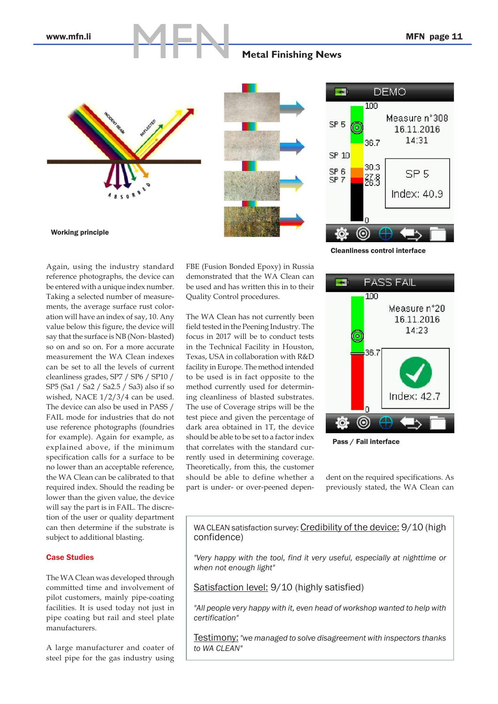# **MARK Metal Finishing News**





Cleanliness control interface

Working principle

Again, using the industry standard reference photographs, the device can be entered with a unique index number. Taking a selected number of measurements, the average surface rust coloration will have an index of say, 10. Any value below this figure, the device will say that the surface is NB (Non- blasted) so on and so on. For a more accurate measurement the WA Clean indexes can be set to all the levels of current cleanliness grades, SP7 / SP6 / SP10 / SP5 (Sa1 / Sa2 / Sa2.5 / Sa3) also if so wished, NACE 1/2/3/4 can be used. The device can also be used in PASS / FAIL mode for industries that do not use reference photographs (foundries for example). Again for example, as explained above, if the minimum specification calls for a surface to be no lower than an acceptable reference, the WA Clean can be calibrated to that required index. Should the reading be lower than the given value, the device will say the part is in FAIL. The discretion of the user or quality department can then determine if the substrate is subject to additional blasting.

#### Case Studies

The WA Clean was developed through committed time and involvement of pilot customers, mainly pipe-coating facilities. It is used today not just in pipe coating but rail and steel plate manufacturers.

A large manufacturer and coater of steel pipe for the gas industry using FBE (Fusion Bonded Epoxy) in Russia demonstrated that the WA Clean can be used and has written this in to their Quality Control procedures.

The WA Clean has not currently been field tested in the Peening Industry. The focus in 2017 will be to conduct tests in the Technical Facility in Houston, Texas, USA in collaboration with R&D facility in Europe. The method intended to be used is in fact opposite to the method currently used for determining cleanliness of blasted substrates. The use of Coverage strips will be the test piece and given the percentage of dark area obtained in 1T, the device should be able to be set to a factor index that correlates with the standard currently used in determining coverage. Theoretically, from this, the customer should be able to define whether a part is under- or over-peened depen-



Pass / Fail interface

dent on the required specifications. As previously stated, the WA Clean can

WA CLEAN satisfaction survey: Credibility of the device: 9/10 (high confidence)

*"Very happy with the tool, find it very useful, especially at nighttime or when not enough light"*

Satisfaction level: 9/10 (highly satisfied)

*"All people very happy with it, even head of workshop wanted to help with certification"*

Testimony: *"we managed to solve disagreement with inspectors thanks to WA CLEAN"*